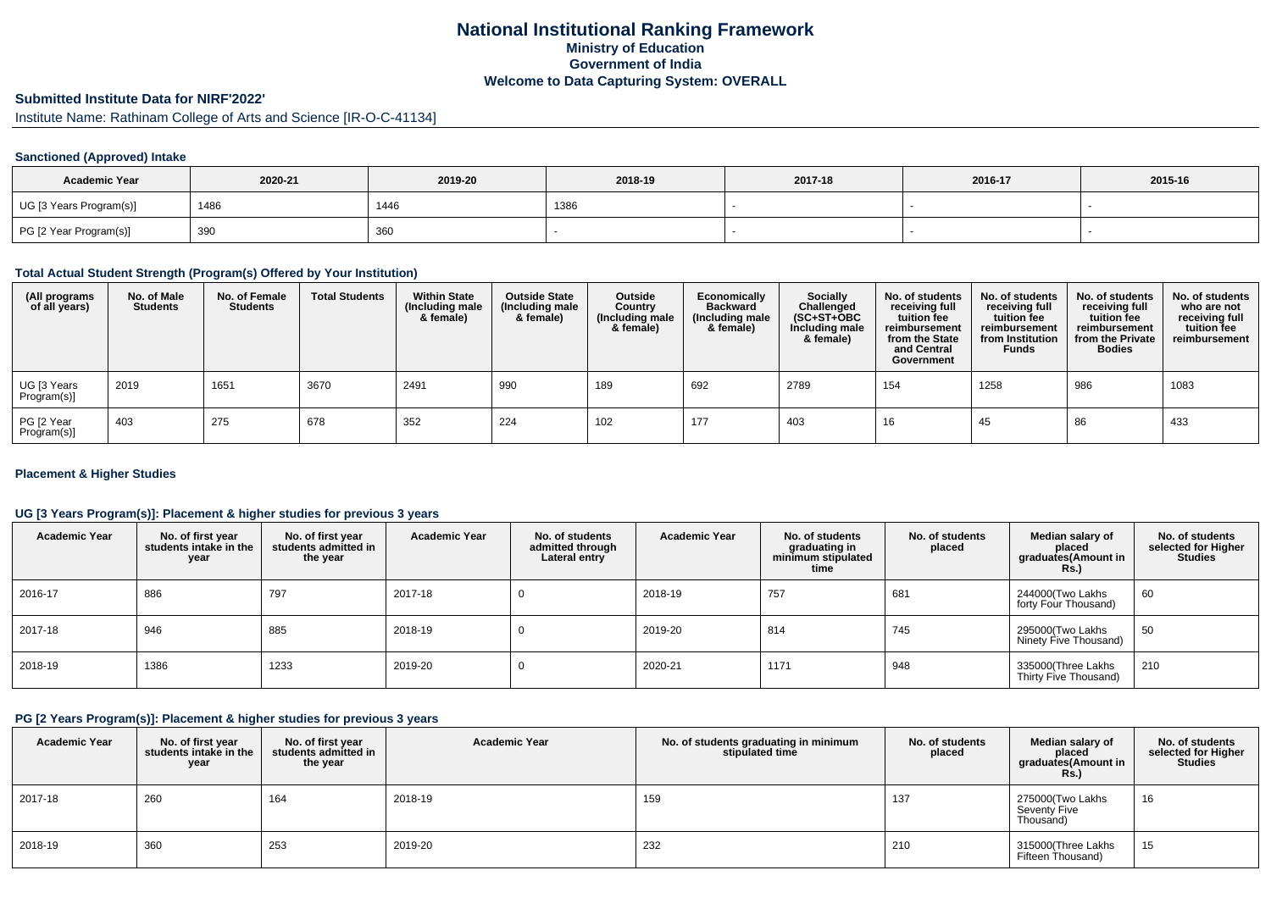# **National Institutional Ranking FrameworkMinistry of Education Government of IndiaWelcome to Data Capturing System: OVERALL**

# **Submitted Institute Data for NIRF'2022'**

Institute Name: Rathinam College of Arts and Science [IR-O-C-41134]

#### **Sanctioned (Approved) Intake**

| <b>Academic Year</b>    | 2020-21 | 2019-20 | 2018-19 | 2017-18 | 2016-17 | 2015-16 |
|-------------------------|---------|---------|---------|---------|---------|---------|
| UG [3 Years Program(s)] | 1486    | 1446    | 1386    |         |         |         |
| PG [2 Year Program(s)]  | 390     | 360     |         |         |         |         |

### **Total Actual Student Strength (Program(s) Offered by Your Institution)**

| (All programs<br>of all years) | No. of Male<br><b>Students</b> | No. of Female<br><b>Students</b> | <b>Total Students</b> | <b>Within State</b><br>(Including male<br>& female) | <b>Outside State</b><br>(Including male<br>& female) | Outside<br>Country<br>(Including male<br>& female) | Economically<br><b>Backward</b><br>(Including male<br>& female) | <b>Socially</b><br>Challenged<br>$(SC+ST+OBC)$<br>Including male<br>& female) | No. of students<br>receiving full<br>tuition fee<br>reimbursement<br>from the State<br>and Central<br>Government | No. of students<br>receiving full<br>tuition fee<br>reimbursement<br>from Institution<br><b>Funds</b> | No. of students<br>receiving full<br>tuition fee<br>reimbursement<br>from the Private<br><b>Bodies</b> | No. of students<br>who are not<br>receiving full<br>tuition fee<br>reimbursement |
|--------------------------------|--------------------------------|----------------------------------|-----------------------|-----------------------------------------------------|------------------------------------------------------|----------------------------------------------------|-----------------------------------------------------------------|-------------------------------------------------------------------------------|------------------------------------------------------------------------------------------------------------------|-------------------------------------------------------------------------------------------------------|--------------------------------------------------------------------------------------------------------|----------------------------------------------------------------------------------|
| UG [3 Years<br>Program(s)]     | 2019                           | 1651                             | 3670                  | 2491                                                | 990                                                  | 189                                                | 692                                                             | 2789                                                                          | 154                                                                                                              | 1258                                                                                                  | 986                                                                                                    | 1083                                                                             |
| PG [2 Year<br>Program(s)]      | 403                            | 275                              | 678                   | 352                                                 | 224                                                  | 102                                                | 177                                                             | 403                                                                           | 16                                                                                                               | 45                                                                                                    | 86                                                                                                     | 433                                                                              |

#### **Placement & Higher Studies**

#### **UG [3 Years Program(s)]: Placement & higher studies for previous 3 years**

| <b>Academic Year</b> | No. of first year<br>students intake in the<br>year | No. of first vear<br>students admitted in<br>the year | <b>Academic Year</b> | No. of students<br>admitted through<br>Lateral entry | <b>Academic Year</b> | No. of students<br>graduating in<br>minimum stipulated<br>time | No. of students<br>placed | Median salary of<br>placed<br>graduates(Amount in<br><b>Rs.</b> ) | No. of students<br>selected for Higher<br><b>Studies</b> |
|----------------------|-----------------------------------------------------|-------------------------------------------------------|----------------------|------------------------------------------------------|----------------------|----------------------------------------------------------------|---------------------------|-------------------------------------------------------------------|----------------------------------------------------------|
| 2016-17              | 886                                                 | 797                                                   | 2017-18              | υ                                                    | 2018-19              | 757                                                            | 681                       | 244000(Two Lakhs<br>forty Four Thousand)                          | 60                                                       |
| 2017-18              | 946                                                 | 885                                                   | 2018-19              |                                                      | 2019-20              | 814                                                            | 745                       | 295000(Two Lakhs<br>Ninety Five Thousand)                         | 50                                                       |
| 2018-19              | 1386                                                | 1233                                                  | 2019-20              | υ                                                    | 2020-21              | 1171                                                           | 948                       | 335000(Three Lakhs<br>Thirty Five Thousand)                       | 210                                                      |

#### **PG [2 Years Program(s)]: Placement & higher studies for previous 3 years**

| <b>Academic Year</b> | No. of first year<br>students intake in the<br>year | No. of first year<br>students admitted in<br>the year | <b>Academic Year</b> | No. of students graduating in minimum<br>stipulated time | No. of students<br>placed | Median salary of<br>placed<br>graduates(Amount in<br><b>Rs.)</b> | No. of students<br>selected for Higher<br><b>Studies</b> |
|----------------------|-----------------------------------------------------|-------------------------------------------------------|----------------------|----------------------------------------------------------|---------------------------|------------------------------------------------------------------|----------------------------------------------------------|
| 2017-18              | 260                                                 | 164                                                   | 2018-19              | 159                                                      | 137                       | 275000(Two Lakhs<br>Seventy Five<br>Thousand)                    | 16                                                       |
| 2018-19              | 360                                                 | 253                                                   | 2019-20              | 232                                                      | 210                       | 315000(Three Lakhs<br>Fifteen Thousand)                          | 15                                                       |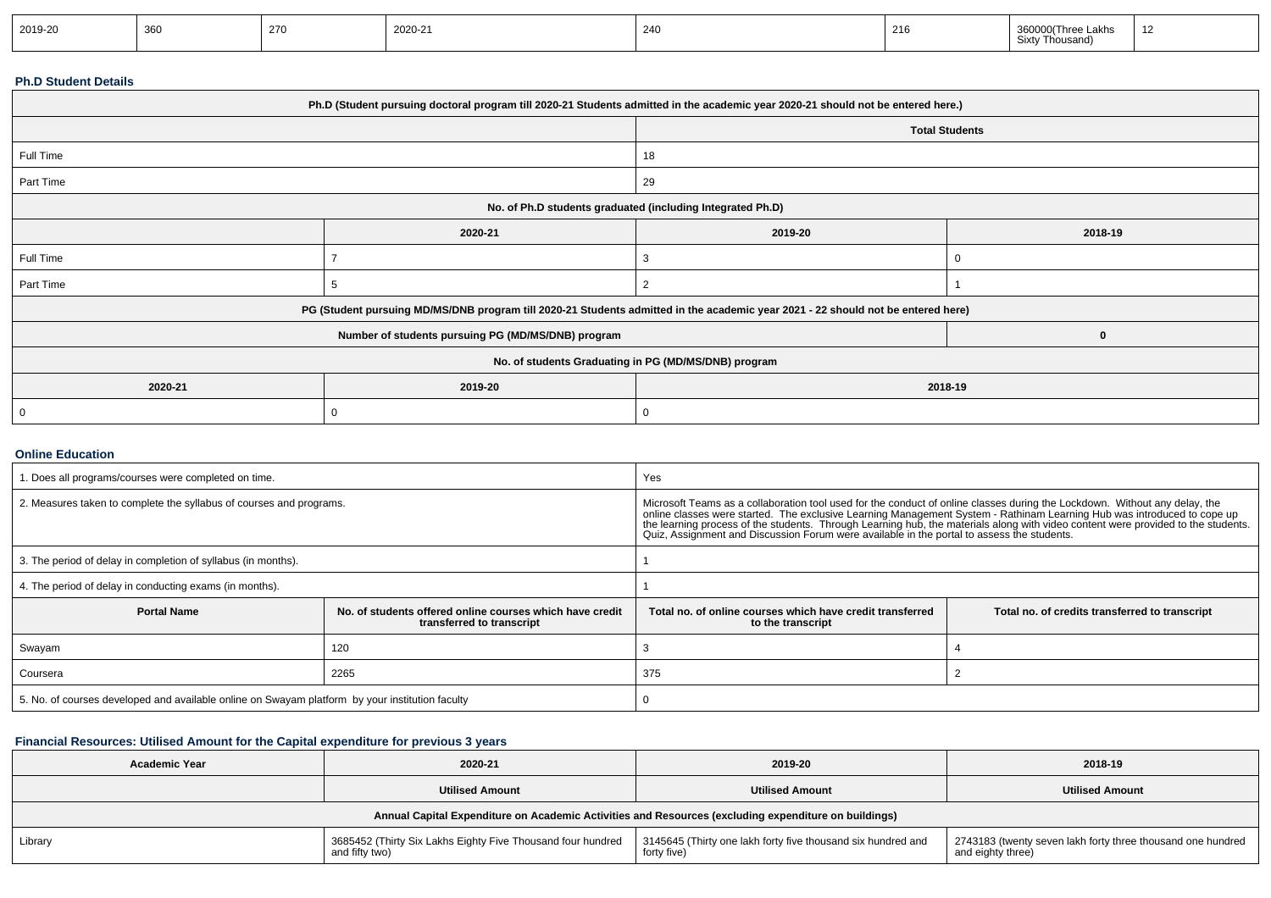| 2019-20 | าลค<br>ັບບປ | 270 | 000<br>2020-21 | 240 | 216 | ∟akhs<br>i i hree<br>Thousand) | $\overline{A}$ |
|---------|-------------|-----|----------------|-----|-----|--------------------------------|----------------|
|---------|-------------|-----|----------------|-----|-----|--------------------------------|----------------|

## **Ph.D Student Details**

| Ph.D (Student pursuing doctoral program till 2020-21 Students admitted in the academic year 2020-21 should not be entered here.) |                                                                                                                                  |                    |  |  |  |
|----------------------------------------------------------------------------------------------------------------------------------|----------------------------------------------------------------------------------------------------------------------------------|--------------------|--|--|--|
|                                                                                                                                  | <b>Total Students</b>                                                                                                            |                    |  |  |  |
| Full Time                                                                                                                        |                                                                                                                                  | 18                 |  |  |  |
| Part Time                                                                                                                        |                                                                                                                                  | 29                 |  |  |  |
|                                                                                                                                  | No. of Ph.D students graduated (including Integrated Ph.D)                                                                       |                    |  |  |  |
|                                                                                                                                  | 2020-21                                                                                                                          | 2019-20<br>2018-19 |  |  |  |
| Full Time                                                                                                                        |                                                                                                                                  |                    |  |  |  |
| Part Time                                                                                                                        |                                                                                                                                  | 2                  |  |  |  |
|                                                                                                                                  | PG (Student pursuing MD/MS/DNB program till 2020-21 Students admitted in the academic year 2021 - 22 should not be entered here) |                    |  |  |  |
|                                                                                                                                  | Number of students pursuing PG (MD/MS/DNB) program                                                                               |                    |  |  |  |
| No. of students Graduating in PG (MD/MS/DNB) program                                                                             |                                                                                                                                  |                    |  |  |  |
| 2020-21                                                                                                                          | 2019-20                                                                                                                          | 2018-19            |  |  |  |
|                                                                                                                                  |                                                                                                                                  |                    |  |  |  |

#### **Online Education**

| . Does all programs/courses were completed on time.                                             |                                                                                       | Yes                                                                                                                                                                                                                                                                                                                                                                                                                                                                                      |                                                |  |  |
|-------------------------------------------------------------------------------------------------|---------------------------------------------------------------------------------------|------------------------------------------------------------------------------------------------------------------------------------------------------------------------------------------------------------------------------------------------------------------------------------------------------------------------------------------------------------------------------------------------------------------------------------------------------------------------------------------|------------------------------------------------|--|--|
| 2. Measures taken to complete the syllabus of courses and programs.                             |                                                                                       | Microsoft Teams as a collaboration tool used for the conduct of online classes during the Lockdown. Without any delay, the<br>online classes were started. The exclusive Learning Management System - Rathinam Learning Hub was introduced to cope up<br>the learning process of the students. Through Learning hub, the materials along with video content were provided to the students.<br>Quiz, Assignment and Discussion Forum were available in the portal to assess the students. |                                                |  |  |
| 3. The period of delay in completion of syllabus (in months).                                   |                                                                                       |                                                                                                                                                                                                                                                                                                                                                                                                                                                                                          |                                                |  |  |
| 4. The period of delay in conducting exams (in months).                                         |                                                                                       |                                                                                                                                                                                                                                                                                                                                                                                                                                                                                          |                                                |  |  |
| <b>Portal Name</b>                                                                              | No, of students offered online courses which have credit<br>transferred to transcript | Total no, of online courses which have credit transferred<br>to the transcript                                                                                                                                                                                                                                                                                                                                                                                                           | Total no. of credits transferred to transcript |  |  |
| Swayam                                                                                          | 120                                                                                   |                                                                                                                                                                                                                                                                                                                                                                                                                                                                                          |                                                |  |  |
| 2265<br>Coursera                                                                                |                                                                                       | 375                                                                                                                                                                                                                                                                                                                                                                                                                                                                                      |                                                |  |  |
| 5. No. of courses developed and available online on Swayam platform by your institution faculty |                                                                                       |                                                                                                                                                                                                                                                                                                                                                                                                                                                                                          |                                                |  |  |

## **Financial Resources: Utilised Amount for the Capital expenditure for previous 3 years**

| 2020-21<br><b>Academic Year</b> |                                                                                                      | 2019-20                                                                    | 2018-19                                                                       |  |  |  |  |  |  |  |
|---------------------------------|------------------------------------------------------------------------------------------------------|----------------------------------------------------------------------------|-------------------------------------------------------------------------------|--|--|--|--|--|--|--|
|                                 | <b>Utilised Amount</b>                                                                               | <b>Utilised Amount</b>                                                     | <b>Utilised Amount</b>                                                        |  |  |  |  |  |  |  |
|                                 | Annual Capital Expenditure on Academic Activities and Resources (excluding expenditure on buildings) |                                                                            |                                                                               |  |  |  |  |  |  |  |
| Library                         | 3685452 (Thirty Six Lakhs Eighty Five Thousand four hundred<br>and fifty two)                        | 3145645 (Thirty one lakh forty five thousand six hundred and<br>forty five | 2743183 (twenty seven lakh forty three thousand one hundred and eighty three) |  |  |  |  |  |  |  |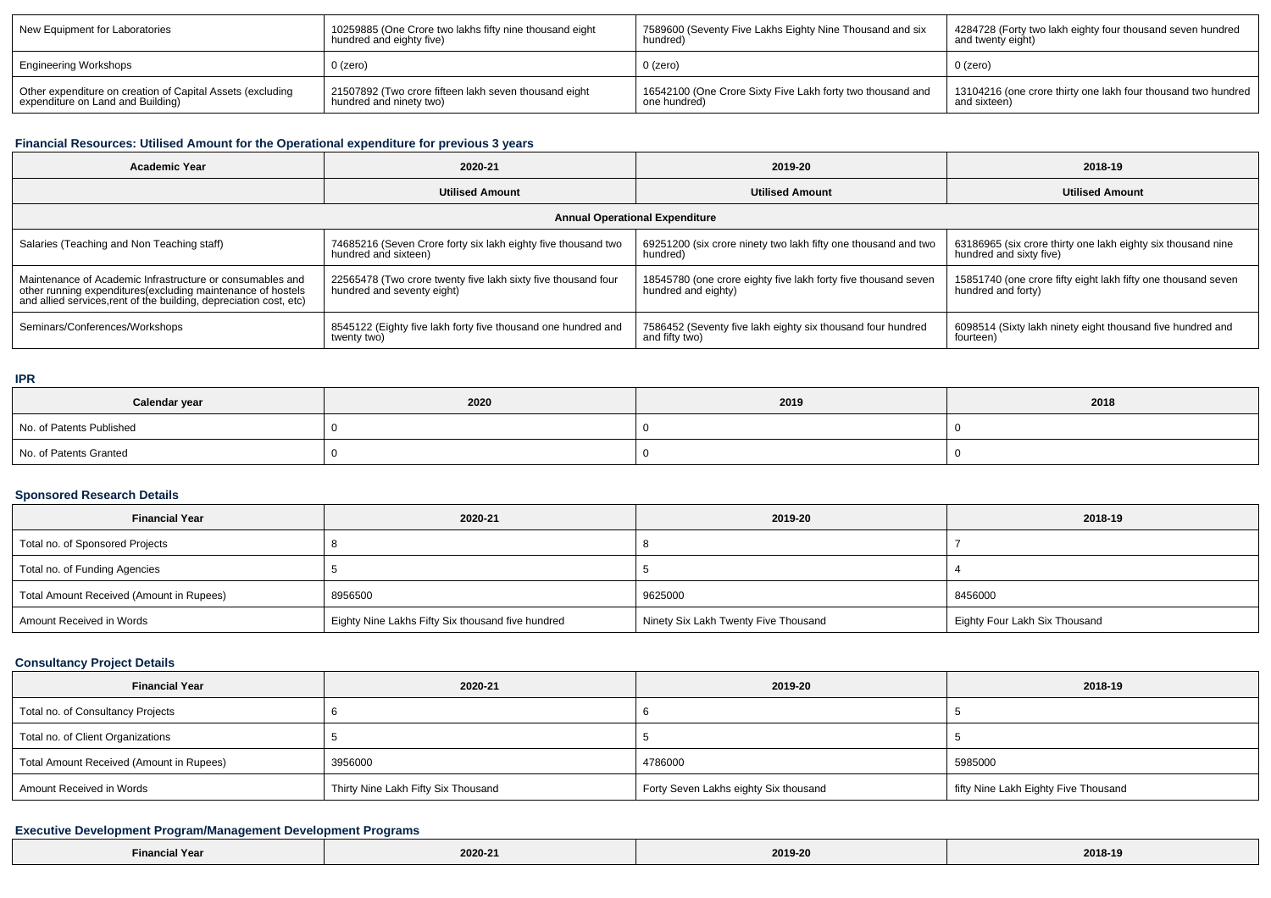| New Equipment for Laboratories                             | 10259885 (One Crore two lakhs fifty nine thousand eight | 7589600 (Seventy Five Lakhs Eighty Nine Thousand and six   | 4284728 (Forty two lakh eighty four thousand seven hundred    |
|------------------------------------------------------------|---------------------------------------------------------|------------------------------------------------------------|---------------------------------------------------------------|
|                                                            | hundred and eighty five)                                | hundred)                                                   | and twenty eight)                                             |
| <b>Engineering Workshops</b>                               | $0$ (zero)                                              | $0$ (zero)                                                 | 0 (zero)                                                      |
| Other expenditure on creation of Capital Assets (excluding | 21507892 (Two crore fifteen lakh seven thousand eight   | 16542100 (One Crore Sixty Five Lakh forty two thousand and | 13104216 (one crore thirty one lakh four thousand two hundred |
| expenditure on Land and Building)                          | hundred and ninety two)                                 | one hundred)                                               | and sixteen)                                                  |

### **Financial Resources: Utilised Amount for the Operational expenditure for previous 3 years**

| <b>Academic Year</b>                                                                                                                                                                            | 2020-21                                                                                     | 2019-20                                                                               | 2018-19                                                                                 |  |  |  |  |  |
|-------------------------------------------------------------------------------------------------------------------------------------------------------------------------------------------------|---------------------------------------------------------------------------------------------|---------------------------------------------------------------------------------------|-----------------------------------------------------------------------------------------|--|--|--|--|--|
|                                                                                                                                                                                                 | <b>Utilised Amount</b>                                                                      | <b>Utilised Amount</b>                                                                | <b>Utilised Amount</b>                                                                  |  |  |  |  |  |
| <b>Annual Operational Expenditure</b>                                                                                                                                                           |                                                                                             |                                                                                       |                                                                                         |  |  |  |  |  |
| Salaries (Teaching and Non Teaching staff)                                                                                                                                                      | 74685216 (Seven Crore forty six lakh eighty five thousand two<br>hundred and sixteen)       | 69251200 (six crore ninety two lakh fifty one thousand and two<br>hundred)            | 63186965 (six crore thirty one lakh eighty six thousand nine<br>hundred and sixty five) |  |  |  |  |  |
| Maintenance of Academic Infrastructure or consumables and<br>other running expenditures (excluding maintenance of hostels<br>and allied services, rent of the building, depreciation cost, etc) | 22565478 (Two crore twenty five lakh sixty five thousand four<br>hundred and seventy eight) | 18545780 (one crore eighty five lakh forty five thousand seven<br>hundred and eighty) | 15851740 (one crore fifty eight lakh fifty one thousand seven<br>hundred and forty)     |  |  |  |  |  |
| Seminars/Conferences/Workshops                                                                                                                                                                  | 8545122 (Eighty five lakh forty five thousand one hundred and<br>twenty two)                | 7586452 (Seventy five lakh eighty six thousand four hundred<br>and fifty two)         | 6098514 (Sixty lakh ninety eight thousand five hundred and<br>fourteen)                 |  |  |  |  |  |

#### **IPR**

| Calendar year            | 2020 | 2019 | 2018 |
|--------------------------|------|------|------|
| No. of Patents Published |      |      |      |
| No. of Patents Granted   |      |      |      |

## **Sponsored Research Details**

| <b>Financial Year</b>                    | 2020-21                                           | 2019-20                              | 2018-19                       |
|------------------------------------------|---------------------------------------------------|--------------------------------------|-------------------------------|
| Total no. of Sponsored Projects          |                                                   |                                      |                               |
| Total no. of Funding Agencies            |                                                   |                                      |                               |
| Total Amount Received (Amount in Rupees) | 8956500                                           | 9625000                              | 8456000                       |
| Amount Received in Words                 | Eighty Nine Lakhs Fifty Six thousand five hundred | Ninety Six Lakh Twenty Five Thousand | Eighty Four Lakh Six Thousand |

## **Consultancy Project Details**

| <b>Financial Year</b>                    | 2020-21                             | 2019-20                               | 2018-19                              |
|------------------------------------------|-------------------------------------|---------------------------------------|--------------------------------------|
| Total no. of Consultancy Projects        |                                     |                                       |                                      |
| Total no. of Client Organizations        |                                     |                                       |                                      |
| Total Amount Received (Amount in Rupees) | 3956000                             | 4786000                               | 5985000                              |
| Amount Received in Words                 | Thirty Nine Lakh Fifty Six Thousand | Forty Seven Lakhs eighty Six thousand | fifty Nine Lakh Eighty Five Thousand |

## **Executive Development Program/Management Development Programs**

| Einan<br>Financial Year | 2020-21 | 2019-20 | 2018-19 |
|-------------------------|---------|---------|---------|
|-------------------------|---------|---------|---------|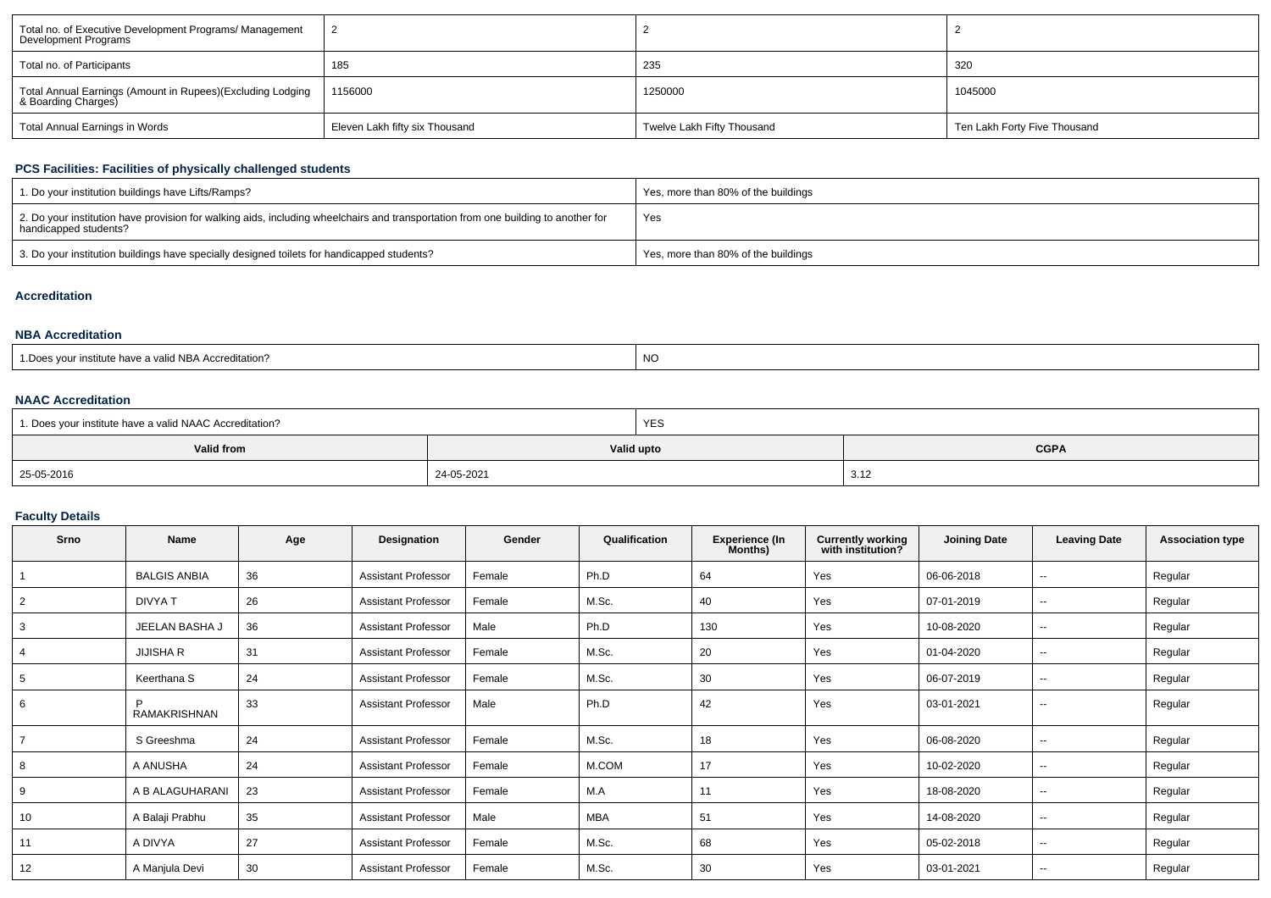| Total no. of Executive Development Programs/ Management<br>Development Programs   |                                |                            |                              |
|-----------------------------------------------------------------------------------|--------------------------------|----------------------------|------------------------------|
| Total no. of Participants                                                         | 185                            | 235                        | 320                          |
| Total Annual Earnings (Amount in Rupees)(Excluding Lodging<br>& Boarding Charges) | 1156000                        | 1250000                    | 1045000                      |
| Total Annual Earnings in Words                                                    | Eleven Lakh fifty six Thousand | Twelve Lakh Fifty Thousand | Ten Lakh Forty Five Thousand |

## **PCS Facilities: Facilities of physically challenged students**

| 1. Do your institution buildings have Lifts/Ramps?                                                                                                         | Yes, more than 80% of the buildings |
|------------------------------------------------------------------------------------------------------------------------------------------------------------|-------------------------------------|
| 2. Do your institution have provision for walking aids, including wheelchairs and transportation from one building to another for<br>handicapped students? | Yes                                 |
| 3. Do your institution buildings have specially designed toilets for handicapped students?                                                                 | Yes, more than 80% of the buildings |

## **Accreditation**

#### **NBA Accreditation**

| ∴ Ones your institute have a valid NBA Accu<br>-----<br>creditation? | <b>NO</b> |
|----------------------------------------------------------------------|-----------|
|----------------------------------------------------------------------|-----------|

#### **NAAC Accreditation**

| 1. Does your institute have a valid NAAC Accreditation? |            | <b>YES</b>                |      |  |  |
|---------------------------------------------------------|------------|---------------------------|------|--|--|
| Valid from                                              |            | Valid upto<br><b>CGPA</b> |      |  |  |
| 25-05-2016                                              | 24-05-2021 |                           | 3.12 |  |  |

## **Faculty Details**

| Srno           | <b>Name</b>         | Age | Designation                | Gender | Qualification | <b>Experience (In</b><br>Months) | <b>Currently working</b><br>with institution? | <b>Joining Date</b> | <b>Leaving Date</b>      | <b>Association type</b> |
|----------------|---------------------|-----|----------------------------|--------|---------------|----------------------------------|-----------------------------------------------|---------------------|--------------------------|-------------------------|
|                | <b>BALGIS ANBIA</b> | 36  | <b>Assistant Professor</b> | Female | Ph.D          | 64                               | Yes                                           | 06-06-2018          | $\overline{\phantom{a}}$ | Regular                 |
| $\overline{2}$ | DIVYA T             | 26  | <b>Assistant Professor</b> | Female | M.Sc.         | 40                               | Yes                                           | 07-01-2019          | $\sim$                   | Regular                 |
| 3              | JEELAN BASHA J      | 36  | <b>Assistant Professor</b> | Male   | Ph.D          | 130                              | Yes                                           | 10-08-2020          | $\overline{\phantom{a}}$ | Regular                 |
| 4              | <b>JIJISHA R</b>    | 31  | <b>Assistant Professor</b> | Female | M.Sc.         | 20                               | Yes                                           | 01-04-2020          | $\sim$                   | Regular                 |
| 5              | Keerthana S         | 24  | <b>Assistant Professor</b> | Female | M.Sc.         | 30                               | Yes                                           | 06-07-2019          | $\overline{\phantom{a}}$ | Regular                 |
| 6              | <b>RAMAKRISHNAN</b> | 33  | <b>Assistant Professor</b> | Male   | Ph.D          | 42                               | Yes                                           | 03-01-2021          | $\overline{\phantom{a}}$ | Regular                 |
| 7              | S Greeshma          | 24  | <b>Assistant Professor</b> | Female | M.Sc.         | 18                               | Yes                                           | 06-08-2020          | $\overline{\phantom{a}}$ | Regular                 |
| 8              | A ANUSHA            | 24  | <b>Assistant Professor</b> | Female | M.COM         | 17                               | Yes                                           | 10-02-2020          | $\overline{\phantom{a}}$ | Regular                 |
| 9              | A B ALAGUHARANI     | 23  | <b>Assistant Professor</b> | Female | M.A           | 11                               | Yes                                           | 18-08-2020          | $\sim$                   | Regular                 |
| 10             | A Balaji Prabhu     | 35  | <b>Assistant Professor</b> | Male   | MBA           | 51                               | Yes                                           | 14-08-2020          | $\sim$                   | Regular                 |
| 11             | A DIVYA             | 27  | <b>Assistant Professor</b> | Female | M.Sc.         | 68                               | Yes                                           | 05-02-2018          | $\overline{\phantom{a}}$ | Regular                 |
| 12             | A Manjula Devi      | 30  | <b>Assistant Professor</b> | Female | M.Sc.         | 30                               | Yes                                           | 03-01-2021          | $\overline{\phantom{a}}$ | Regular                 |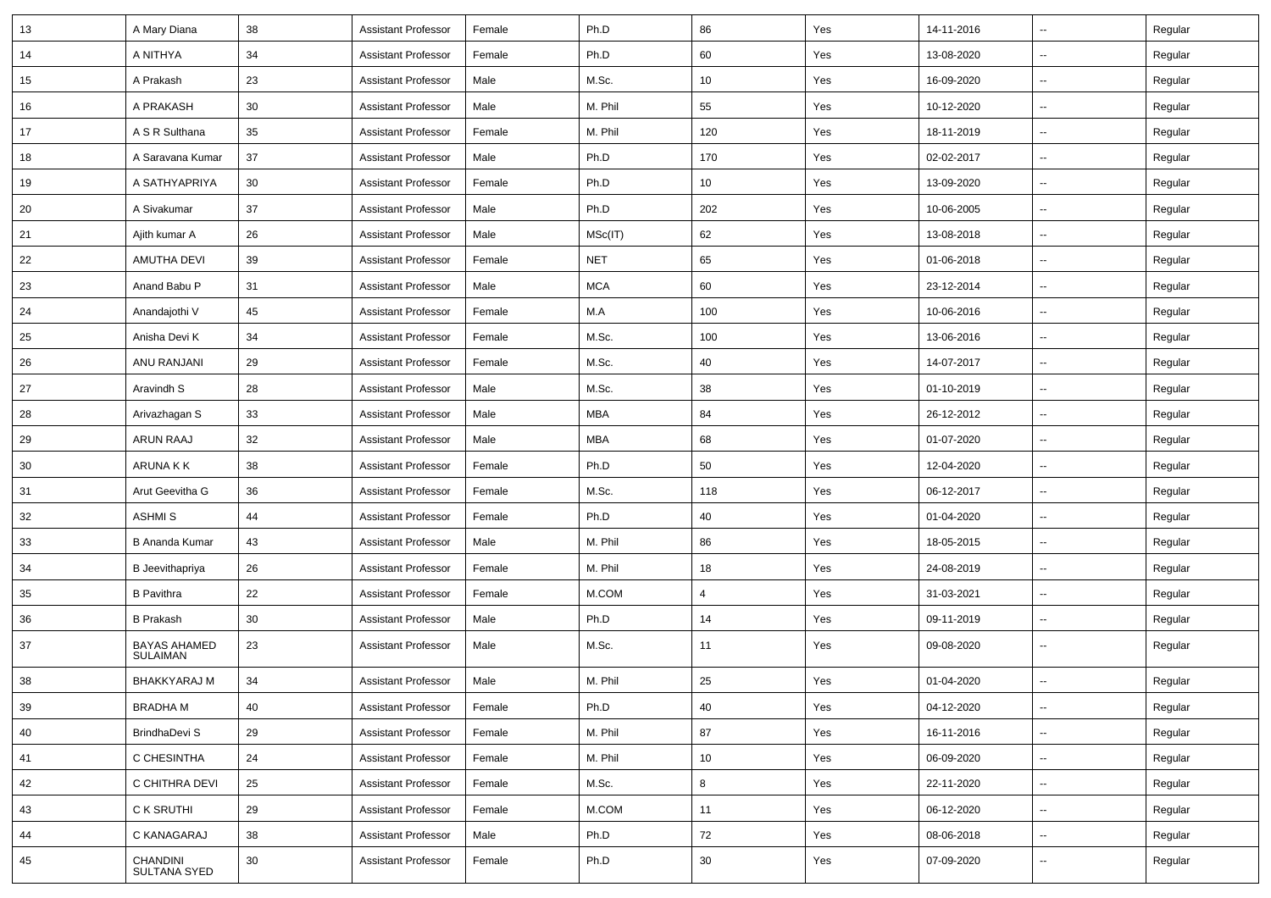| 13 | A Mary Diana                           | 38 | <b>Assistant Professor</b> | Female | Ph.D       | 86  | Yes | 14-11-2016 | $\sim$                   | Regular |
|----|----------------------------------------|----|----------------------------|--------|------------|-----|-----|------------|--------------------------|---------|
| 14 | A NITHYA                               | 34 | <b>Assistant Professor</b> | Female | Ph.D       | 60  | Yes | 13-08-2020 | $\sim$                   | Regular |
| 15 | A Prakash                              | 23 | <b>Assistant Professor</b> | Male   | M.Sc.      | 10  | Yes | 16-09-2020 | Ξ.                       | Regular |
| 16 | A PRAKASH                              | 30 | <b>Assistant Professor</b> | Male   | M. Phil    | 55  | Yes | 10-12-2020 | $\sim$                   | Regular |
| 17 | A S R Sulthana                         | 35 | <b>Assistant Professor</b> | Female | M. Phil    | 120 | Yes | 18-11-2019 | $\overline{a}$           | Regular |
| 18 | A Saravana Kumar                       | 37 | <b>Assistant Professor</b> | Male   | Ph.D       | 170 | Yes | 02-02-2017 | Ξ.                       | Regular |
| 19 | A SATHYAPRIYA                          | 30 | <b>Assistant Professor</b> | Female | Ph.D       | 10  | Yes | 13-09-2020 | $\sim$                   | Regular |
| 20 | A Sivakumar                            | 37 | <b>Assistant Professor</b> | Male   | Ph.D       | 202 | Yes | 10-06-2005 | $\sim$                   | Regular |
| 21 | Ajith kumar A                          | 26 | <b>Assistant Professor</b> | Male   | MSc(IT)    | 62  | Yes | 13-08-2018 | Ξ.                       | Regular |
| 22 | AMUTHA DEVI                            | 39 | <b>Assistant Professor</b> | Female | <b>NET</b> | 65  | Yes | 01-06-2018 | $\sim$                   | Regular |
| 23 | Anand Babu P                           | 31 | <b>Assistant Professor</b> | Male   | <b>MCA</b> | 60  | Yes | 23-12-2014 | --                       | Regular |
| 24 | Anandajothi V                          | 45 | <b>Assistant Professor</b> | Female | M.A        | 100 | Yes | 10-06-2016 | Ξ.                       | Regular |
| 25 | Anisha Devi K                          | 34 | <b>Assistant Professor</b> | Female | M.Sc.      | 100 | Yes | 13-06-2016 | $\sim$                   | Regular |
| 26 | ANU RANJANI                            | 29 | <b>Assistant Professor</b> | Female | M.Sc.      | 40  | Yes | 14-07-2017 | $\sim$                   | Regular |
| 27 | Aravindh S                             | 28 | <b>Assistant Professor</b> | Male   | M.Sc.      | 38  | Yes | 01-10-2019 | Ξ.                       | Regular |
| 28 | Arivazhagan S                          | 33 | <b>Assistant Professor</b> | Male   | MBA        | 84  | Yes | 26-12-2012 | $\sim$                   | Regular |
| 29 | ARUN RAAJ                              | 32 | <b>Assistant Professor</b> | Male   | MBA        | 68  | Yes | 01-07-2020 | --                       | Regular |
| 30 | ARUNA K K                              | 38 | <b>Assistant Professor</b> | Female | Ph.D       | 50  | Yes | 12-04-2020 | ۰.                       | Regular |
| 31 | Arut Geevitha G                        | 36 | <b>Assistant Professor</b> | Female | M.Sc.      | 118 | Yes | 06-12-2017 | $\sim$                   | Regular |
| 32 | <b>ASHMIS</b>                          | 44 | <b>Assistant Professor</b> | Female | Ph.D       | 40  | Yes | 01-04-2020 | $\sim$                   | Regular |
| 33 | <b>B Ananda Kumar</b>                  | 43 | <b>Assistant Professor</b> | Male   | M. Phil    | 86  | Yes | 18-05-2015 | $\sim$                   | Regular |
| 34 | <b>B</b> Jeevithapriya                 | 26 | <b>Assistant Professor</b> | Female | M. Phil    | 18  | Yes | 24-08-2019 | $\sim$                   | Regular |
| 35 | <b>B</b> Pavithra                      | 22 | <b>Assistant Professor</b> | Female | M.COM      | 4   | Yes | 31-03-2021 | $\overline{\phantom{a}}$ | Regular |
| 36 | <b>B</b> Prakash                       | 30 | <b>Assistant Professor</b> | Male   | Ph.D       | 14  | Yes | 09-11-2019 | ۰.                       | Regular |
| 37 | <b>BAYAS AHAMED</b><br><b>SULAIMAN</b> | 23 | <b>Assistant Professor</b> | Male   | M.Sc.      | 11  | Yes | 09-08-2020 | $\sim$                   | Regular |
| 38 | <b>BHAKKYARAJ M</b>                    | 34 | <b>Assistant Professor</b> | Male   | M. Phil    | 25  | Yes | 01-04-2020 | $\sim$                   | Regular |
| 39 | <b>BRADHAM</b>                         | 40 | <b>Assistant Professor</b> | Female | Ph.D       | 40  | Yes | 04-12-2020 | ц.                       | Regular |
| 40 | BrindhaDevi S                          | 29 | Assistant Professor        | Female | M. Phil    | 87  | Yes | 16-11-2016 | $\sim$                   | Regular |
| 41 | C CHESINTHA                            | 24 | <b>Assistant Professor</b> | Female | M. Phil    | 10  | Yes | 06-09-2020 | ц.                       | Regular |
| 42 | C CHITHRA DEVI                         | 25 | <b>Assistant Professor</b> | Female | M.Sc.      | 8   | Yes | 22-11-2020 | $\sim$                   | Regular |
| 43 | C K SRUTHI                             | 29 | <b>Assistant Professor</b> | Female | M.COM      | 11  | Yes | 06-12-2020 | ш.                       | Regular |
| 44 | C KANAGARAJ                            | 38 | <b>Assistant Professor</b> | Male   | Ph.D       | 72  | Yes | 08-06-2018 | ц.                       | Regular |
| 45 | CHANDINI<br>SULTANA SYED               | 30 | <b>Assistant Professor</b> | Female | Ph.D       | 30  | Yes | 07-09-2020 | $\sim$                   | Regular |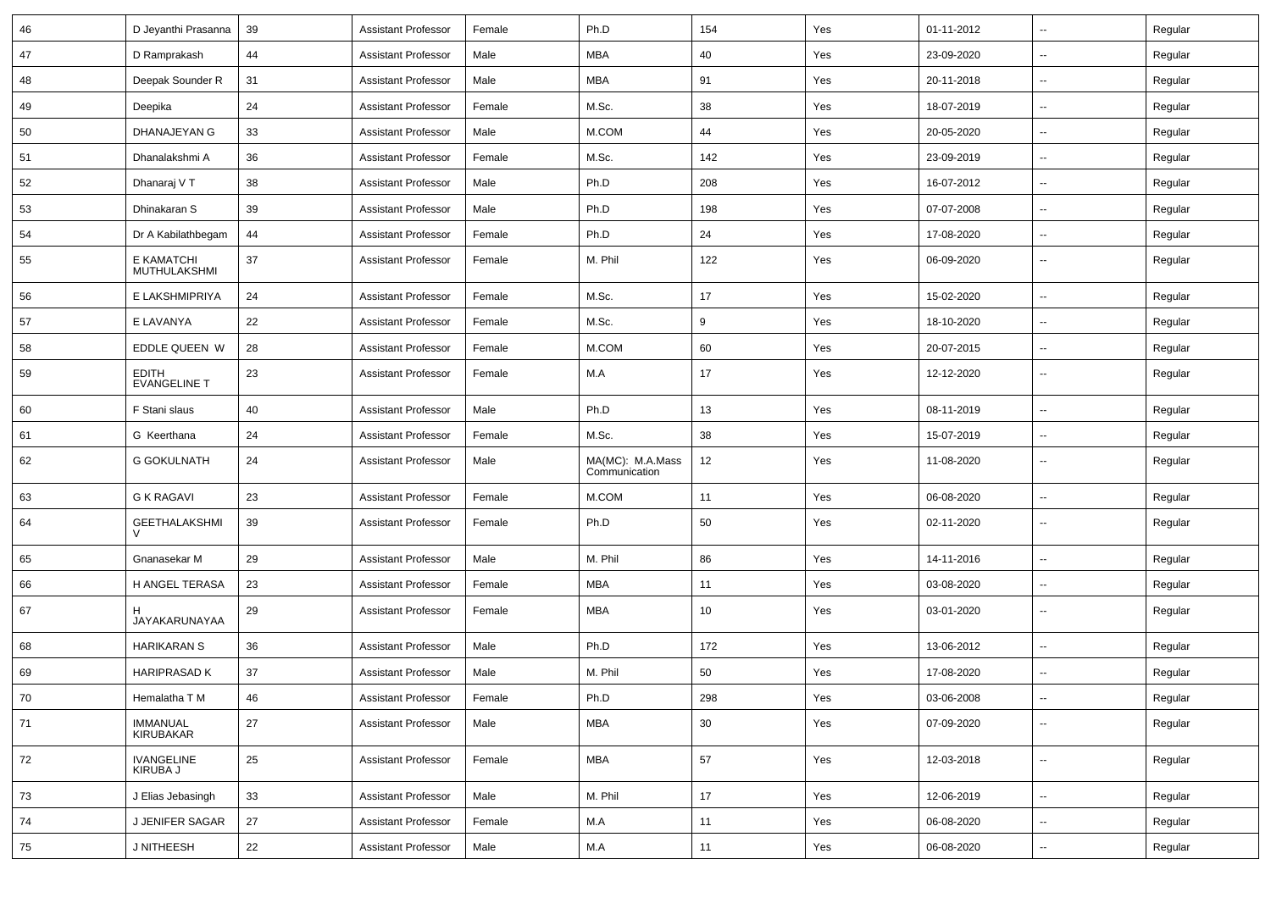| 46 | D Jeyanthi Prasanna                 | 39 | <b>Assistant Professor</b> | Female | Ph.D                              | 154 | Yes | 01-11-2012 | $\sim$                   | Regular |
|----|-------------------------------------|----|----------------------------|--------|-----------------------------------|-----|-----|------------|--------------------------|---------|
| 47 | D Ramprakash                        | 44 | <b>Assistant Professor</b> | Male   | <b>MBA</b>                        | 40  | Yes | 23-09-2020 | $\overline{\phantom{a}}$ | Regular |
| 48 | Deepak Sounder R                    | 31 | <b>Assistant Professor</b> | Male   | <b>MBA</b>                        | 91  | Yes | 20-11-2018 | $\overline{\phantom{a}}$ | Regular |
| 49 | Deepika                             | 24 | <b>Assistant Professor</b> | Female | M.Sc.                             | 38  | Yes | 18-07-2019 | $\overline{\phantom{a}}$ | Regular |
| 50 | DHANAJEYAN G                        | 33 | <b>Assistant Professor</b> | Male   | M.COM                             | 44  | Yes | 20-05-2020 | $\overline{\phantom{a}}$ | Regular |
| 51 | Dhanalakshmi A                      | 36 | <b>Assistant Professor</b> | Female | M.Sc.                             | 142 | Yes | 23-09-2019 | $\sim$                   | Regular |
| 52 | Dhanaraj V T                        | 38 | <b>Assistant Professor</b> | Male   | Ph.D                              | 208 | Yes | 16-07-2012 | $\sim$                   | Regular |
| 53 | Dhinakaran S                        | 39 | <b>Assistant Professor</b> | Male   | Ph.D                              | 198 | Yes | 07-07-2008 | $\sim$                   | Regular |
| 54 | Dr A Kabilathbegam                  | 44 | <b>Assistant Professor</b> | Female | Ph.D                              | 24  | Yes | 17-08-2020 | $\overline{\phantom{a}}$ | Regular |
| 55 | E KAMATCHI<br>MUTHULAKSHMI          | 37 | <b>Assistant Professor</b> | Female | M. Phil                           | 122 | Yes | 06-09-2020 | $\overline{\phantom{a}}$ | Regular |
| 56 | E LAKSHMIPRIYA                      | 24 | <b>Assistant Professor</b> | Female | M.Sc.                             | 17  | Yes | 15-02-2020 | $\sim$                   | Regular |
| 57 | E LAVANYA                           | 22 | <b>Assistant Professor</b> | Female | M.Sc.                             | 9   | Yes | 18-10-2020 | $\overline{\phantom{a}}$ | Regular |
| 58 | EDDLE QUEEN W                       | 28 | <b>Assistant Professor</b> | Female | M.COM                             | 60  | Yes | 20-07-2015 | $\sim$                   | Regular |
| 59 | <b>EDITH</b><br><b>EVANGELINE T</b> | 23 | <b>Assistant Professor</b> | Female | M.A                               | 17  | Yes | 12-12-2020 | $\sim$                   | Regular |
| 60 | F Stani slaus                       | 40 | <b>Assistant Professor</b> | Male   | Ph.D                              | 13  | Yes | 08-11-2019 | $\sim$                   | Regular |
| 61 | G Keerthana                         | 24 | <b>Assistant Professor</b> | Female | M.Sc.                             | 38  | Yes | 15-07-2019 | $\sim$                   | Regular |
| 62 | <b>G GOKULNATH</b>                  | 24 | <b>Assistant Professor</b> | Male   | MA(MC): M.A.Mass<br>Communication | 12  | Yes | 11-08-2020 | $\sim$                   | Regular |
| 63 | G K RAGAVI                          | 23 | <b>Assistant Professor</b> | Female | M.COM                             | 11  | Yes | 06-08-2020 | $\sim$                   | Regular |
| 64 | <b>GEETHALAKSHMI</b>                | 39 | <b>Assistant Professor</b> | Female | Ph.D                              | 50  | Yes | 02-11-2020 | $\overline{\phantom{a}}$ | Regular |
| 65 | Gnanasekar M                        | 29 | <b>Assistant Professor</b> | Male   | M. Phil                           | 86  | Yes | 14-11-2016 | $\overline{\phantom{a}}$ | Regular |
| 66 | H ANGEL TERASA                      | 23 | <b>Assistant Professor</b> | Female | <b>MBA</b>                        | 11  | Yes | 03-08-2020 | $\overline{\phantom{a}}$ | Regular |
| 67 | JAYAKARUNAYAA                       | 29 | <b>Assistant Professor</b> | Female | <b>MBA</b>                        | 10  | Yes | 03-01-2020 | $\sim$                   | Regular |
| 68 | <b>HARIKARAN S</b>                  | 36 | <b>Assistant Professor</b> | Male   | Ph.D                              | 172 | Yes | 13-06-2012 | $\sim$                   | Regular |
| 69 | <b>HARIPRASAD K</b>                 | 37 | <b>Assistant Professor</b> | Male   | M. Phil                           | 50  | Yes | 17-08-2020 | $\sim$                   | Regular |
| 70 | Hemalatha T M                       | 46 | <b>Assistant Professor</b> | Female | Ph.D                              | 298 | Yes | 03-06-2008 | $\overline{\phantom{a}}$ | Regular |
| 71 | IMMANUAL<br>KIRUBAKAR               | 27 | <b>Assistant Professor</b> | Male   | <b>MBA</b>                        | 30  | Yes | 07-09-2020 | $\sim$                   | Regular |
| 72 | IVANGELINE<br>KIRUBA J              | 25 | <b>Assistant Professor</b> | Female | <b>MBA</b>                        | 57  | Yes | 12-03-2018 | $\sim$                   | Regular |
| 73 | J Elias Jebasingh                   | 33 | <b>Assistant Professor</b> | Male   | M. Phil                           | 17  | Yes | 12-06-2019 | $\sim$                   | Regular |
| 74 | J JENIFER SAGAR                     | 27 | <b>Assistant Professor</b> | Female | M.A                               | 11  | Yes | 06-08-2020 | $\sim$                   | Regular |
| 75 | J NITHEESH                          | 22 | <b>Assistant Professor</b> | Male   | M.A                               | 11  | Yes | 06-08-2020 | $\sim$                   | Regular |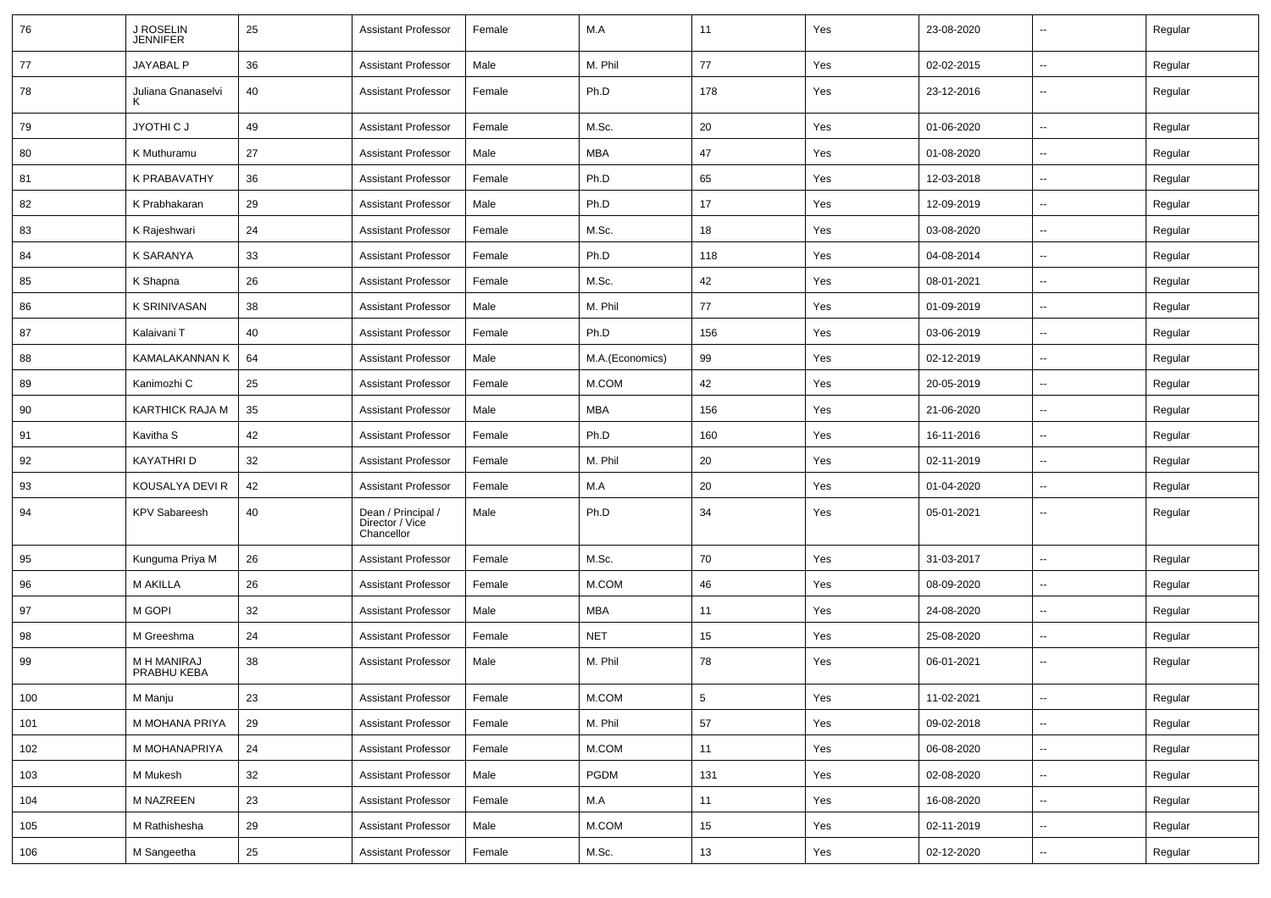| 76  | J ROSELIN<br>JENNIFER             | 25 | <b>Assistant Professor</b>                          | Female | M.A             | 11             | Yes | 23-08-2020 | $\overline{\phantom{a}}$ | Regular |
|-----|-----------------------------------|----|-----------------------------------------------------|--------|-----------------|----------------|-----|------------|--------------------------|---------|
| 77  | JAYABAL P                         | 36 | <b>Assistant Professor</b>                          | Male   | M. Phil         | 77             | Yes | 02-02-2015 | ⊷.                       | Regular |
| 78  | Juliana Gnanaselvi                | 40 | <b>Assistant Professor</b>                          | Female | Ph.D            | 178            | Yes | 23-12-2016 | −−                       | Regular |
| 79  | JYOTHI C J                        | 49 | <b>Assistant Professor</b>                          | Female | M.Sc.           | 20             | Yes | 01-06-2020 | -−                       | Regular |
| 80  | K Muthuramu                       | 27 | <b>Assistant Professor</b>                          | Male   | MBA             | 47             | Yes | 01-08-2020 | --                       | Regular |
| 81  | K PRABAVATHY                      | 36 | <b>Assistant Professor</b>                          | Female | Ph.D            | 65             | Yes | 12-03-2018 | --                       | Regular |
| 82  | K Prabhakaran                     | 29 | <b>Assistant Professor</b>                          | Male   | Ph.D            | 17             | Yes | 12-09-2019 | --                       | Regular |
| 83  | K Rajeshwari                      | 24 | <b>Assistant Professor</b>                          | Female | M.Sc.           | 18             | Yes | 03-08-2020 | $\sim$                   | Regular |
| 84  | K SARANYA                         | 33 | <b>Assistant Professor</b>                          | Female | Ph.D            | 118            | Yes | 04-08-2014 | $\sim$                   | Regular |
| 85  | K Shapna                          | 26 | <b>Assistant Professor</b>                          | Female | M.Sc.           | 42             | Yes | 08-01-2021 | --                       | Regular |
| 86  | K SRINIVASAN                      | 38 | <b>Assistant Professor</b>                          | Male   | M. Phil         | 77             | Yes | 01-09-2019 | $\overline{\phantom{a}}$ | Regular |
| 87  | Kalaivani T                       | 40 | <b>Assistant Professor</b>                          | Female | Ph.D            | 156            | Yes | 03-06-2019 | --                       | Regular |
| 88  | <b>KAMALAKANNAN K</b>             | 64 | <b>Assistant Professor</b>                          | Male   | M.A.(Economics) | 99             | Yes | 02-12-2019 | --                       | Regular |
| 89  | Kanimozhi C                       | 25 | <b>Assistant Professor</b>                          | Female | M.COM           | 42             | Yes | 20-05-2019 | $\sim$                   | Regular |
| 90  | KARTHICK RAJA M                   | 35 | <b>Assistant Professor</b>                          | Male   | MBA             | 156            | Yes | 21-06-2020 | −−                       | Regular |
| 91  | Kavitha S                         | 42 | <b>Assistant Professor</b>                          | Female | Ph.D            | 160            | Yes | 16-11-2016 | н.                       | Regular |
| 92  | KAYATHRI D                        | 32 | <b>Assistant Professor</b>                          | Female | M. Phil         | 20             | Yes | 02-11-2019 | ⊷.                       | Regular |
| 93  | KOUSALYA DEVI R                   | 42 | <b>Assistant Professor</b>                          | Female | M.A             | 20             | Yes | 01-04-2020 | --                       | Regular |
| 94  | <b>KPV Sabareesh</b>              | 40 | Dean / Principal /<br>Director / Vice<br>Chancellor | Male   | Ph.D            | 34             | Yes | 05-01-2021 |                          | Regular |
| 95  | Kunguma Priya M                   | 26 | <b>Assistant Professor</b>                          | Female | M.Sc.           | 70             | Yes | 31-03-2017 | --                       | Regular |
| 96  | M AKILLA                          | 26 | <b>Assistant Professor</b>                          | Female | M.COM           | 46             | Yes | 08-09-2020 | --                       | Regular |
| 97  | M GOPI                            | 32 | <b>Assistant Professor</b>                          | Male   | MBA             | 11             | Yes | 24-08-2020 | $\overline{\phantom{a}}$ | Regular |
| 98  | M Greeshma                        | 24 | <b>Assistant Professor</b>                          | Female | <b>NET</b>      | 15             | Yes | 25-08-2020 | −−                       | Regular |
| 99  | <b>M H MANIRAJ</b><br>PRABHU KEBA | 38 | <b>Assistant Professor</b>                          | Male   | M. Phil         | 78             | Yes | 06-01-2021 | -−                       | Regular |
| 100 | M Manju                           | 23 | <b>Assistant Professor</b>                          | Female | M.COM           | $\overline{5}$ | Yes | 11-02-2021 | ⊷                        | Regular |
| 101 | M MOHANA PRIYA                    | 29 | <b>Assistant Professor</b>                          | Female | M. Phil         | 57             | Yes | 09-02-2018 | ш.                       | Regular |
| 102 | M MOHANAPRIYA                     | 24 | <b>Assistant Professor</b>                          | Female | M.COM           | 11             | Yes | 06-08-2020 | $\overline{\phantom{a}}$ | Regular |
| 103 | M Mukesh                          | 32 | <b>Assistant Professor</b>                          | Male   | PGDM            | 131            | Yes | 02-08-2020 | $\overline{\phantom{a}}$ | Regular |
| 104 | M NAZREEN                         | 23 | <b>Assistant Professor</b>                          | Female | M.A             | 11             | Yes | 16-08-2020 | $\sim$                   | Regular |
| 105 | M Rathishesha                     | 29 | <b>Assistant Professor</b>                          | Male   | M.COM           | 15             | Yes | 02-11-2019 | Щ,                       | Regular |
| 106 | M Sangeetha                       | 25 | <b>Assistant Professor</b>                          | Female | M.Sc.           | 13             | Yes | 02-12-2020 | ⊶.                       | Regular |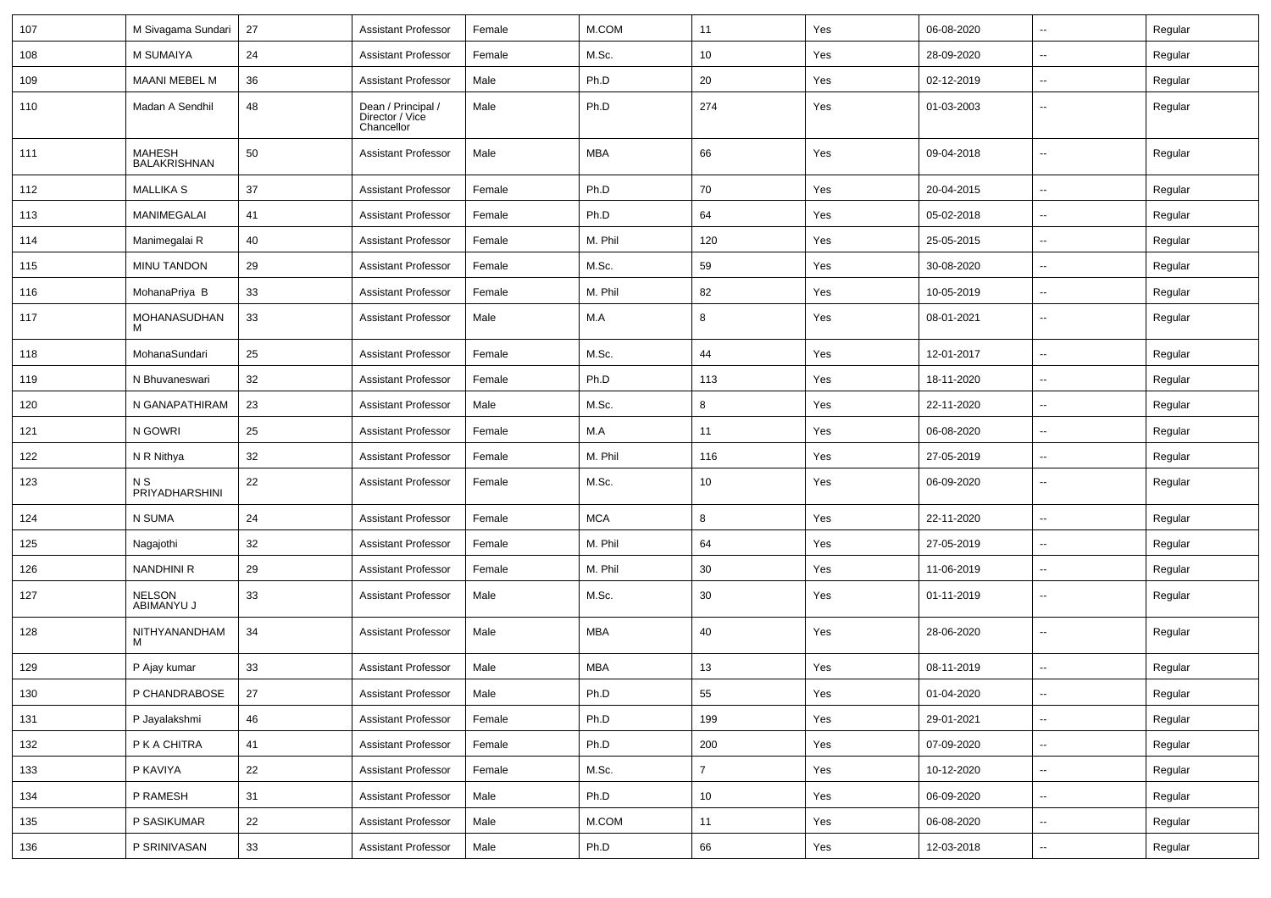| 107 | M Sivagama Sundari                   | 27 | <b>Assistant Professor</b>                          | Female | M.COM      | 11             | Yes | 06-08-2020 | $\overline{\phantom{a}}$ | Regular |
|-----|--------------------------------------|----|-----------------------------------------------------|--------|------------|----------------|-----|------------|--------------------------|---------|
| 108 | M SUMAIYA                            | 24 | <b>Assistant Professor</b>                          | Female | M.Sc.      | 10             | Yes | 28-09-2020 | $\overline{\phantom{a}}$ | Regular |
| 109 | <b>MAANI MEBEL M</b>                 | 36 | <b>Assistant Professor</b>                          | Male   | Ph.D       | 20             | Yes | 02-12-2019 | --                       | Regular |
| 110 | Madan A Sendhil                      | 48 | Dean / Principal /<br>Director / Vice<br>Chancellor | Male   | Ph.D       | 274            | Yes | 01-03-2003 | --                       | Regular |
| 111 | <b>MAHESH</b><br><b>BALAKRISHNAN</b> | 50 | <b>Assistant Professor</b>                          | Male   | <b>MBA</b> | 66             | Yes | 09-04-2018 | --                       | Regular |
| 112 | <b>MALLIKA S</b>                     | 37 | <b>Assistant Professor</b>                          | Female | Ph.D       | 70             | Yes | 20-04-2015 | $\overline{\phantom{a}}$ | Regular |
| 113 | MANIMEGALAI                          | 41 | <b>Assistant Professor</b>                          | Female | Ph.D       | 64             | Yes | 05-02-2018 | --                       | Regular |
| 114 | Manimegalai R                        | 40 | <b>Assistant Professor</b>                          | Female | M. Phil    | 120            | Yes | 25-05-2015 | $\overline{\phantom{a}}$ | Regular |
| 115 | <b>MINU TANDON</b>                   | 29 | <b>Assistant Professor</b>                          | Female | M.Sc.      | 59             | Yes | 30-08-2020 | $\sim$                   | Regular |
| 116 | MohanaPriya B                        | 33 | <b>Assistant Professor</b>                          | Female | M. Phil    | 82             | Yes | 10-05-2019 | н.                       | Regular |
| 117 | MOHANASUDHAN<br>M                    | 33 | <b>Assistant Professor</b>                          | Male   | M.A        | 8              | Yes | 08-01-2021 | $\overline{\phantom{a}}$ | Regular |
| 118 | MohanaSundari                        | 25 | <b>Assistant Professor</b>                          | Female | M.Sc.      | 44             | Yes | 12-01-2017 | $\overline{\phantom{a}}$ | Regular |
| 119 | N Bhuvaneswari                       | 32 | <b>Assistant Professor</b>                          | Female | Ph.D       | 113            | Yes | 18-11-2020 | $\overline{\phantom{a}}$ | Regular |
| 120 | N GANAPATHIRAM                       | 23 | <b>Assistant Professor</b>                          | Male   | M.Sc.      | 8              | Yes | 22-11-2020 | $\overline{\phantom{a}}$ | Regular |
| 121 | N GOWRI                              | 25 | <b>Assistant Professor</b>                          | Female | M.A        | 11             | Yes | 06-08-2020 | $\overline{\phantom{a}}$ | Regular |
| 122 | N R Nithya                           | 32 | <b>Assistant Professor</b>                          | Female | M. Phil    | 116            | Yes | 27-05-2019 | $\overline{\phantom{a}}$ | Regular |
| 123 | N S<br>PRIYADHARSHINI                | 22 | <b>Assistant Professor</b>                          | Female | M.Sc.      | 10             | Yes | 06-09-2020 | ⊷.                       | Regular |
| 124 | N SUMA                               | 24 | <b>Assistant Professor</b>                          | Female | <b>MCA</b> | 8              | Yes | 22-11-2020 | ⊷.                       | Regular |
| 125 | Nagajothi                            | 32 | <b>Assistant Professor</b>                          | Female | M. Phil    | 64             | Yes | 27-05-2019 | $\overline{\phantom{a}}$ | Regular |
| 126 | <b>NANDHINI R</b>                    | 29 | <b>Assistant Professor</b>                          | Female | M. Phil    | 30             | Yes | 11-06-2019 | --                       | Regular |
| 127 | <b>NELSON</b><br>ABIMANYU J          | 33 | <b>Assistant Professor</b>                          | Male   | M.Sc.      | 30             | Yes | 01-11-2019 | -−                       | Regular |
| 128 | NITHYANANDHAM<br>M                   | 34 | <b>Assistant Professor</b>                          | Male   | MBA        | 40             | Yes | 28-06-2020 | --                       | Regular |
| 129 | P Ajay kumar                         | 33 | <b>Assistant Professor</b>                          | Male   | <b>MBA</b> | 13             | Yes | 08-11-2019 | -−                       | Regular |
| 130 | P CHANDRABOSE                        | 27 | Assistant Professor                                 | Male   | Ph.D       | 55             | Yes | 01-04-2020 |                          | Regular |
| 131 | P Jayalakshmi                        | 46 | <b>Assistant Professor</b>                          | Female | Ph.D       | 199            | Yes | 29-01-2021 | $\sim$                   | Regular |
| 132 | P K A CHITRA                         | 41 | Assistant Professor                                 | Female | Ph.D       | 200            | Yes | 07-09-2020 | $\sim$                   | Regular |
| 133 | P KAVIYA                             | 22 | <b>Assistant Professor</b>                          | Female | M.Sc.      | $\overline{7}$ | Yes | 10-12-2020 | $\sim$                   | Regular |
| 134 | P RAMESH                             | 31 | <b>Assistant Professor</b>                          | Male   | Ph.D       | 10             | Yes | 06-09-2020 | $\sim$                   | Regular |
| 135 | P SASIKUMAR                          | 22 | <b>Assistant Professor</b>                          | Male   | $M.$ COM   | 11             | Yes | 06-08-2020 | $\sim$                   | Regular |
| 136 | P SRINIVASAN                         | 33 | <b>Assistant Professor</b>                          | Male   | Ph.D       | 66             | Yes | 12-03-2018 | $\sim$                   | Regular |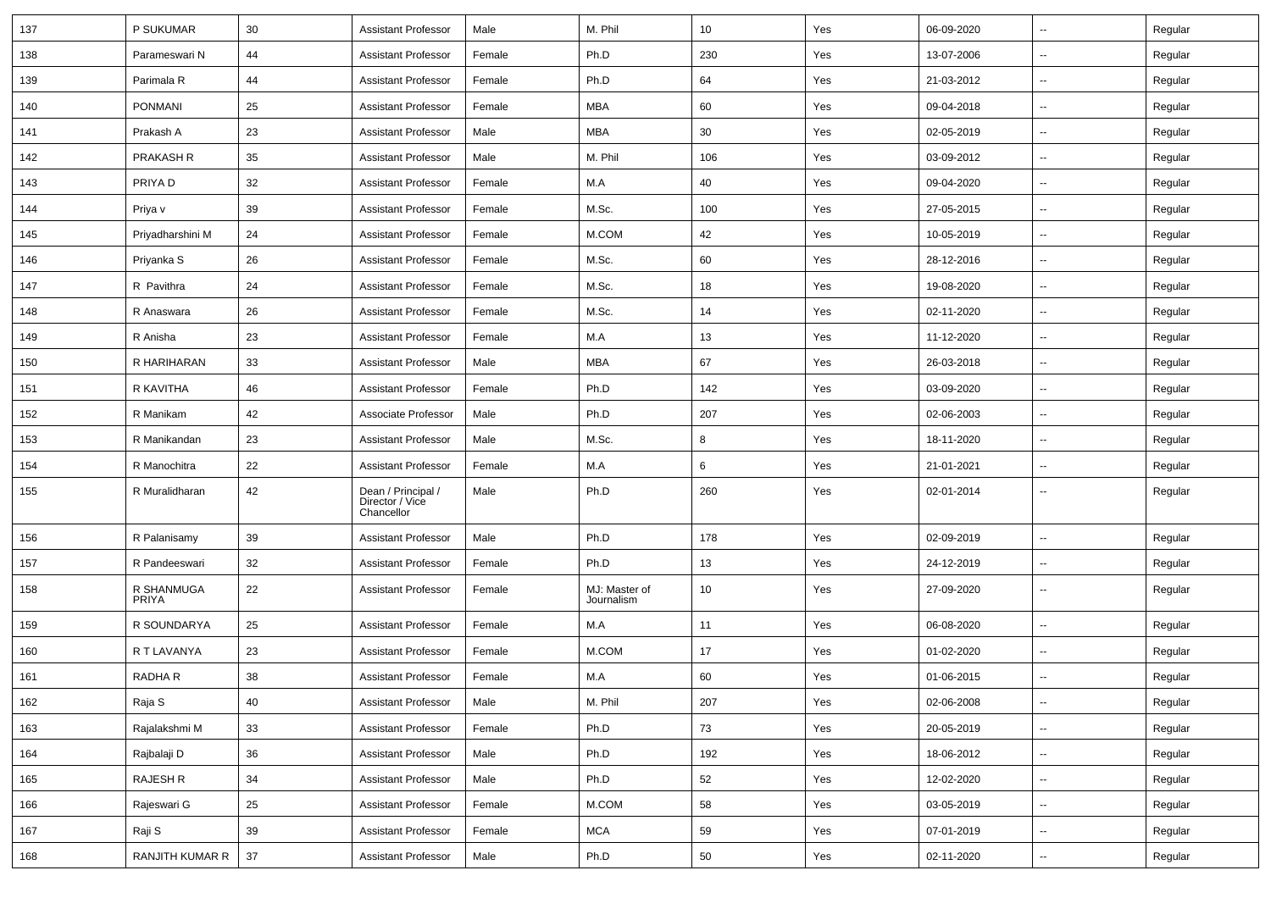| 137 | P SUKUMAR                  | 30 | <b>Assistant Professor</b>                          | Male   | M. Phil                     | 10              | Yes | 06-09-2020 | $\overline{\phantom{a}}$ | Regular |
|-----|----------------------------|----|-----------------------------------------------------|--------|-----------------------------|-----------------|-----|------------|--------------------------|---------|
| 138 | Parameswari N              | 44 | <b>Assistant Professor</b>                          | Female | Ph.D                        | 230             | Yes | 13-07-2006 | ⊷.                       | Regular |
| 139 | Parimala R                 | 44 | <b>Assistant Professor</b>                          | Female | Ph.D                        | 64              | Yes | 21-03-2012 | $\overline{\phantom{a}}$ | Regular |
| 140 | <b>PONMANI</b>             | 25 | <b>Assistant Professor</b>                          | Female | <b>MBA</b>                  | 60              | Yes | 09-04-2018 | --                       | Regular |
| 141 | Prakash A                  | 23 | <b>Assistant Professor</b>                          | Male   | MBA                         | 30              | Yes | 02-05-2019 | --                       | Regular |
| 142 | PRAKASH R                  | 35 | <b>Assistant Professor</b>                          | Male   | M. Phil                     | 106             | Yes | 03-09-2012 | $\overline{\phantom{a}}$ | Regular |
| 143 | PRIYA D                    | 32 | <b>Assistant Professor</b>                          | Female | M.A                         | 40              | Yes | 09-04-2020 | $\overline{\phantom{a}}$ | Regular |
| 144 | Priya v                    | 39 | <b>Assistant Professor</b>                          | Female | M.Sc.                       | 100             | Yes | 27-05-2015 | ⊷.                       | Regular |
| 145 | Priyadharshini M           | 24 | <b>Assistant Professor</b>                          | Female | M.COM                       | 42              | Yes | 10-05-2019 | $\overline{\phantom{a}}$ | Regular |
| 146 | Priyanka S                 | 26 | <b>Assistant Professor</b>                          | Female | M.Sc.                       | 60              | Yes | 28-12-2016 | --                       | Regular |
| 147 | R Pavithra                 | 24 | <b>Assistant Professor</b>                          | Female | M.Sc.                       | 18              | Yes | 19-08-2020 | --                       | Regular |
| 148 | R Anaswara                 | 26 | <b>Assistant Professor</b>                          | Female | M.Sc.                       | 14              | Yes | 02-11-2020 | $\overline{\phantom{a}}$ | Regular |
| 149 | R Anisha                   | 23 | <b>Assistant Professor</b>                          | Female | M.A                         | 13              | Yes | 11-12-2020 | $\overline{\phantom{a}}$ | Regular |
| 150 | R HARIHARAN                | 33 | <b>Assistant Professor</b>                          | Male   | <b>MBA</b>                  | 67              | Yes | 26-03-2018 | ⊷.                       | Regular |
| 151 | R KAVITHA                  | 46 | <b>Assistant Professor</b>                          | Female | Ph.D                        | 142             | Yes | 03-09-2020 | $\overline{\phantom{a}}$ | Regular |
| 152 | R Manikam                  | 42 | Associate Professor                                 | Male   | Ph.D                        | 207             | Yes | 02-06-2003 | --                       | Regular |
| 153 | R Manikandan               | 23 | <b>Assistant Professor</b>                          | Male   | M.Sc.                       | 8               | Yes | 18-11-2020 | --                       | Regular |
| 154 | R Manochitra               | 22 | <b>Assistant Professor</b>                          | Female | M.A                         | 6               | Yes | 21-01-2021 | $\overline{\phantom{a}}$ | Regular |
| 155 | R Muralidharan             | 42 | Dean / Principal /<br>Director / Vice<br>Chancellor | Male   | Ph.D                        | 260             | Yes | 02-01-2014 | $\overline{\phantom{a}}$ | Regular |
| 156 | R Palanisamy               | 39 | <b>Assistant Professor</b>                          | Male   | Ph.D                        | 178             | Yes | 02-09-2019 | --                       | Regular |
| 157 | R Pandeeswari              | 32 | <b>Assistant Professor</b>                          | Female | Ph.D                        | 13              | Yes | 24-12-2019 | $\overline{\phantom{a}}$ | Regular |
| 158 | R SHANMUGA<br><b>PRIYA</b> | 22 | <b>Assistant Professor</b>                          | Female | MJ: Master of<br>Journalism | 10 <sup>°</sup> | Yes | 27-09-2020 | ⊷.                       | Regular |
| 159 | R SOUNDARYA                | 25 | <b>Assistant Professor</b>                          | Female | M.A                         | 11              | Yes | 06-08-2020 | ⊷.                       | Regular |
| 160 | R T LAVANYA                | 23 | <b>Assistant Professor</b>                          | Female | M.COM                       | 17              | Yes | 01-02-2020 | --                       | Regular |
| 161 | RADHA R                    | 38 | <b>Assistant Professor</b>                          | Female | M.A                         | 60              | Yes | 01-06-2015 |                          | Regular |
| 162 | Raja S                     | 40 | Assistant Professor                                 | Male   | M. Phil                     | 207             | Yes | 02-06-2008 | Щ,                       | Regular |
| 163 | Rajalakshmi M              | 33 | <b>Assistant Professor</b>                          | Female | Ph.D                        | 73              | Yes | 20-05-2019 | ц.                       | Regular |
| 164 | Rajbalaji D                | 36 | <b>Assistant Professor</b>                          | Male   | Ph.D                        | 192             | Yes | 18-06-2012 | $\overline{\phantom{a}}$ | Regular |
| 165 | RAJESH R                   | 34 | <b>Assistant Professor</b>                          | Male   | Ph.D                        | 52              | Yes | 12-02-2020 | $\sim$                   | Regular |
| 166 | Rajeswari G                | 25 | <b>Assistant Professor</b>                          | Female | M.COM                       | 58              | Yes | 03-05-2019 | $\overline{\phantom{a}}$ | Regular |
| 167 | Raji S                     | 39 | <b>Assistant Professor</b>                          | Female | <b>MCA</b>                  | 59              | Yes | 07-01-2019 | $\overline{\phantom{a}}$ | Regular |
| 168 | RANJITH KUMAR R            | 37 | <b>Assistant Professor</b>                          | Male   | Ph.D                        | $50\,$          | Yes | 02-11-2020 | −−                       | Regular |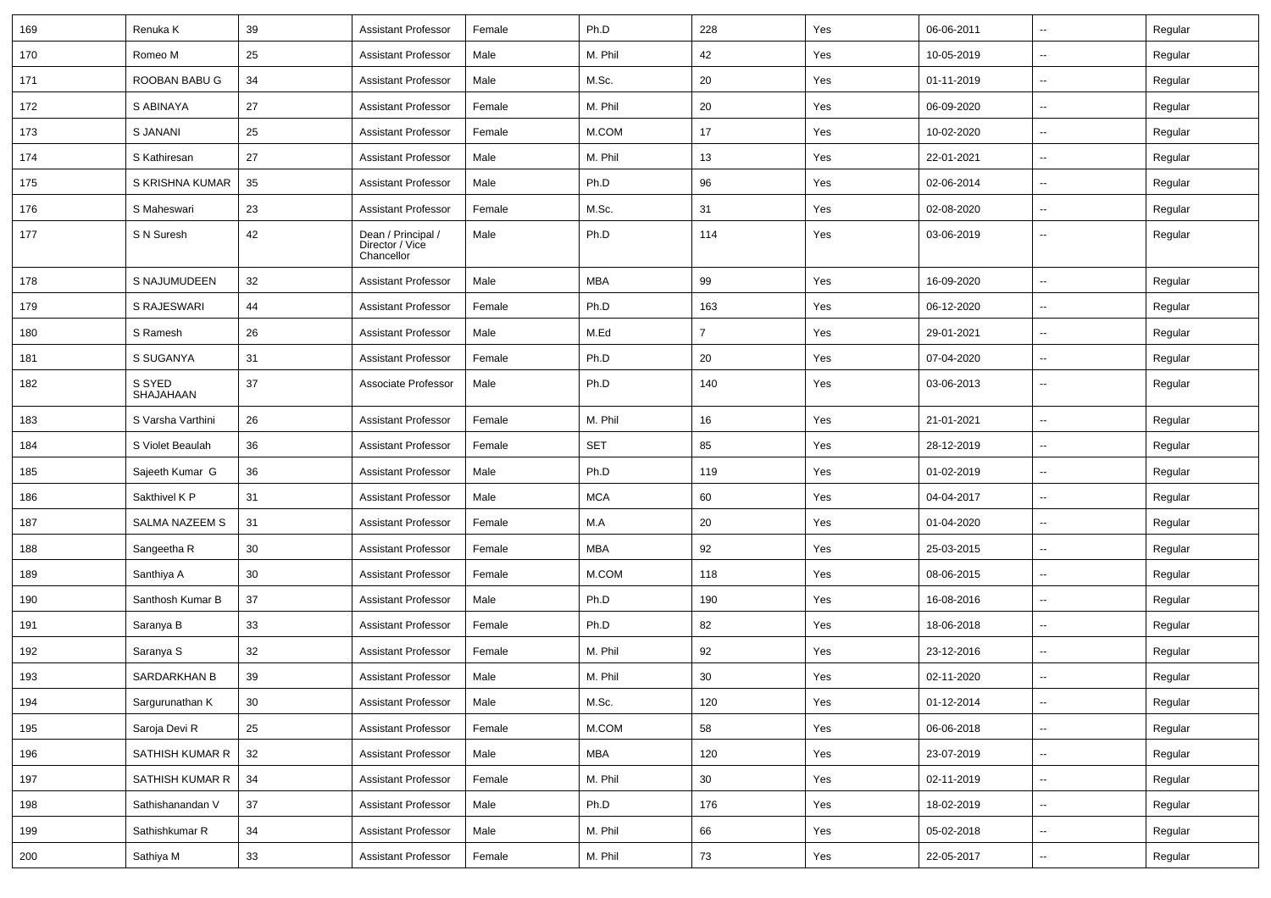| 169 | Renuka K            | 39     | <b>Assistant Professor</b>                          | Female | Ph.D       | 228            | Yes | 06-06-2011 | $\overline{\phantom{a}}$ | Regular |
|-----|---------------------|--------|-----------------------------------------------------|--------|------------|----------------|-----|------------|--------------------------|---------|
| 170 | Romeo M             | 25     | <b>Assistant Professor</b>                          | Male   | M. Phil    | 42             | Yes | 10-05-2019 | $\sim$                   | Regular |
| 171 | ROOBAN BABU G       | 34     | <b>Assistant Professor</b>                          | Male   | M.Sc.      | 20             | Yes | 01-11-2019 | --                       | Regular |
| 172 | S ABINAYA           | 27     | <b>Assistant Professor</b>                          | Female | M. Phil    | 20             | Yes | 06-09-2020 | -−                       | Regular |
| 173 | S JANANI            | 25     | <b>Assistant Professor</b>                          | Female | M.COM      | 17             | Yes | 10-02-2020 | $\overline{\phantom{a}}$ | Regular |
| 174 | S Kathiresan        | 27     | <b>Assistant Professor</b>                          | Male   | M. Phil    | 13             | Yes | 22-01-2021 | -−                       | Regular |
| 175 | S KRISHNA KUMAR     | 35     | <b>Assistant Professor</b>                          | Male   | Ph.D       | 96             | Yes | 02-06-2014 | $\sim$                   | Regular |
| 176 | S Maheswari         | 23     | <b>Assistant Professor</b>                          | Female | M.Sc.      | 31             | Yes | 02-08-2020 | ⊷.                       | Regular |
| 177 | S N Suresh          | 42     | Dean / Principal /<br>Director / Vice<br>Chancellor | Male   | Ph.D       | 114            | Yes | 03-06-2019 | --                       | Regular |
| 178 | S NAJUMUDEEN        | 32     | <b>Assistant Professor</b>                          | Male   | <b>MBA</b> | 99             | Yes | 16-09-2020 | ⊷.                       | Regular |
| 179 | S RAJESWARI         | 44     | <b>Assistant Professor</b>                          | Female | Ph.D       | 163            | Yes | 06-12-2020 | -−                       | Regular |
| 180 | S Ramesh            | 26     | <b>Assistant Professor</b>                          | Male   | M.Ed       | $\overline{7}$ | Yes | 29-01-2021 | $\overline{\phantom{a}}$ | Regular |
| 181 | S SUGANYA           | 31     | <b>Assistant Professor</b>                          | Female | Ph.D       | 20             | Yes | 07-04-2020 | $\overline{a}$           | Regular |
| 182 | S SYED<br>SHAJAHAAN | 37     | Associate Professor                                 | Male   | Ph.D       | 140            | Yes | 03-06-2013 | --                       | Regular |
| 183 | S Varsha Varthini   | 26     | <b>Assistant Professor</b>                          | Female | M. Phil    | 16             | Yes | 21-01-2021 | $\sim$                   | Regular |
| 184 | S Violet Beaulah    | 36     | <b>Assistant Professor</b>                          | Female | <b>SET</b> | 85             | Yes | 28-12-2019 | $\sim$                   | Regular |
| 185 | Sajeeth Kumar G     | 36     | <b>Assistant Professor</b>                          | Male   | Ph.D       | 119            | Yes | 01-02-2019 | ⊷.                       | Regular |
| 186 | Sakthivel K P       | 31     | <b>Assistant Professor</b>                          | Male   | <b>MCA</b> | 60             | Yes | 04-04-2017 | --                       | Regular |
| 187 | SALMA NAZEEM S      | 31     | <b>Assistant Professor</b>                          | Female | M.A        | 20             | Yes | 01-04-2020 | -−                       | Regular |
| 188 | Sangeetha R         | 30     | <b>Assistant Professor</b>                          | Female | <b>MBA</b> | 92             | Yes | 25-03-2015 | $\overline{\phantom{a}}$ | Regular |
| 189 | Santhiya A          | 30     | <b>Assistant Professor</b>                          | Female | M.COM      | 118            | Yes | 08-06-2015 | -−                       | Regular |
| 190 | Santhosh Kumar B    | 37     | <b>Assistant Professor</b>                          | Male   | Ph.D       | 190            | Yes | 16-08-2016 | $\sim$                   | Regular |
| 191 | Saranya B           | 33     | <b>Assistant Professor</b>                          | Female | Ph.D       | 82             | Yes | 18-06-2018 | ⊷.                       | Regular |
| 192 | Saranya S           | 32     | <b>Assistant Professor</b>                          | Female | M. Phil    | 92             | Yes | 23-12-2016 | -−                       | Regular |
| 193 | SARDARKHAN B        | 39     | <b>Assistant Professor</b>                          | Male   | M. Phil    | 30             | Yes | 02-11-2020 | -−                       | Regular |
| 194 | Sargurunathan K     | $30\,$ | <b>Assistant Professor</b>                          | Male   | M.Sc.      | 120            | Yes | 01-12-2014 | Ц.                       | Regular |
| 195 | Saroja Devi R       | 25     | Assistant Professor                                 | Female | M.COM      | 58             | Yes | 06-06-2018 | $\sim$                   | Regular |
| 196 | SATHISH KUMAR R     | 32     | <b>Assistant Professor</b>                          | Male   | <b>MBA</b> | 120            | Yes | 23-07-2019 | н.                       | Regular |
| 197 | SATHISH KUMAR R     | 34     | <b>Assistant Professor</b>                          | Female | M. Phil    | 30             | Yes | 02-11-2019 | $\overline{\phantom{a}}$ | Regular |
| 198 | Sathishanandan V    | 37     | Assistant Professor                                 | Male   | Ph.D       | 176            | Yes | 18-02-2019 | $\sim$                   | Regular |
| 199 | Sathishkumar R      | 34     | <b>Assistant Professor</b>                          | Male   | M. Phil    | 66             | Yes | 05-02-2018 | $\sim$                   | Regular |
| 200 | Sathiya M           | $33\,$ | <b>Assistant Professor</b>                          | Female | M. Phil    | 73             | Yes | 22-05-2017 | $\sim$                   | Regular |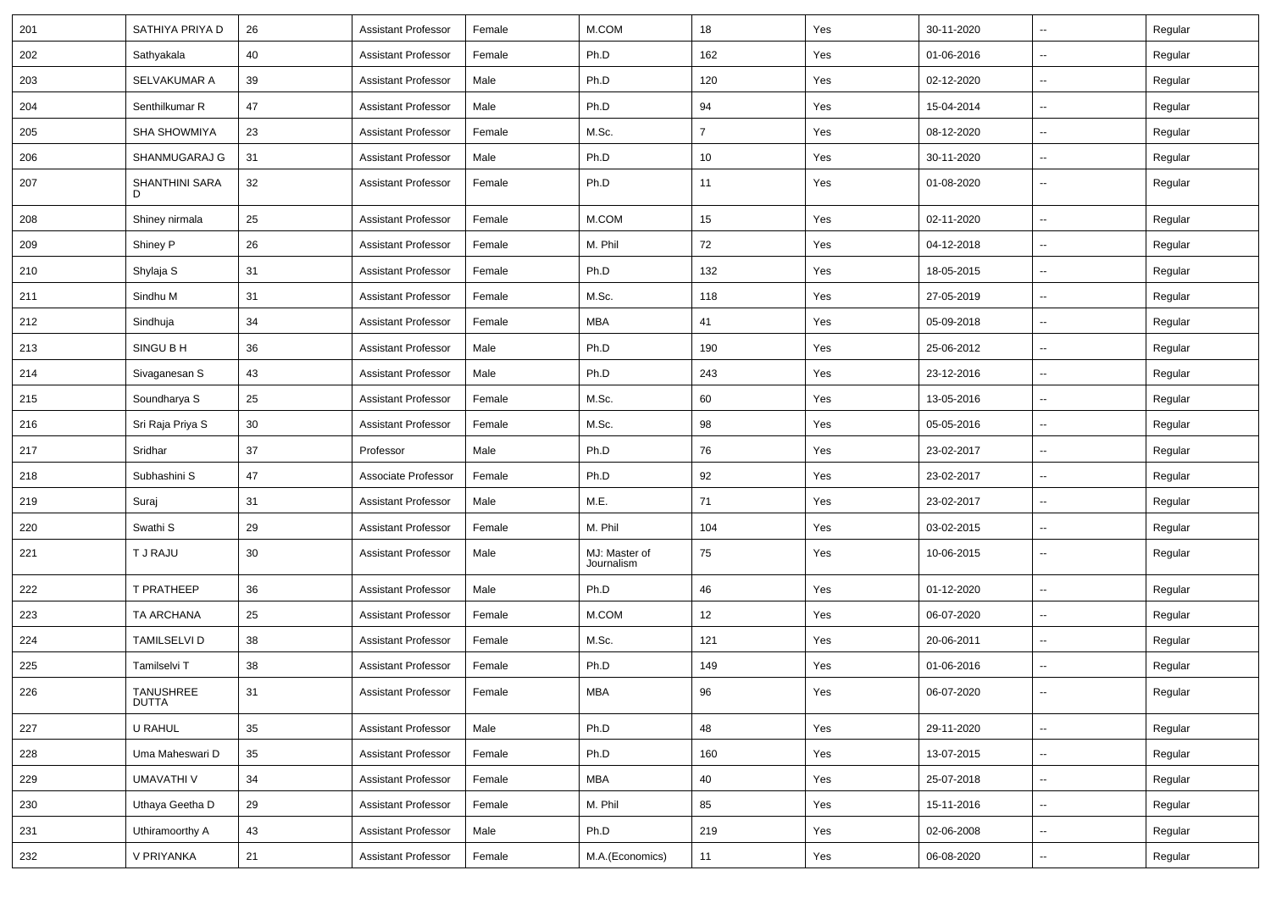| 201 | SATHIYA PRIYA D           | 26 | <b>Assistant Professor</b> | Female | M.COM                       | 18             | Yes | 30-11-2020 | $\overline{\phantom{a}}$ | Regular |
|-----|---------------------------|----|----------------------------|--------|-----------------------------|----------------|-----|------------|--------------------------|---------|
| 202 | Sathyakala                | 40 | <b>Assistant Professor</b> | Female | Ph.D                        | 162            | Yes | 01-06-2016 | ⊷.                       | Regular |
| 203 | SELVAKUMAR A              | 39 | <b>Assistant Professor</b> | Male   | Ph.D                        | 120            | Yes | 02-12-2020 | Ξ.                       | Regular |
| 204 | Senthilkumar R            | 47 | <b>Assistant Professor</b> | Male   | Ph.D                        | 94             | Yes | 15-04-2014 | $\overline{\phantom{a}}$ | Regular |
| 205 | <b>SHA SHOWMIYA</b>       | 23 | <b>Assistant Professor</b> | Female | M.Sc.                       | $\overline{7}$ | Yes | 08-12-2020 | -−                       | Regular |
| 206 | SHANMUGARAJ G             | 31 | <b>Assistant Professor</b> | Male   | Ph.D                        | 10             | Yes | 30-11-2020 | Щ,                       | Regular |
| 207 | SHANTHINI SARA<br>D       | 32 | <b>Assistant Professor</b> | Female | Ph.D                        | 11             | Yes | 01-08-2020 | ⊷.                       | Regular |
| 208 | Shiney nirmala            | 25 | <b>Assistant Professor</b> | Female | M.COM                       | 15             | Yes | 02-11-2020 | Ξ.                       | Regular |
| 209 | Shiney P                  | 26 | <b>Assistant Professor</b> | Female | M. Phil                     | 72             | Yes | 04-12-2018 | ⊷.                       | Regular |
| 210 | Shylaja S                 | 31 | <b>Assistant Professor</b> | Female | Ph.D                        | 132            | Yes | 18-05-2015 | $\sim$                   | Regular |
| 211 | Sindhu M                  | 31 | <b>Assistant Professor</b> | Female | M.Sc.                       | 118            | Yes | 27-05-2019 | $\overline{\phantom{a}}$ | Regular |
| 212 | Sindhuja                  | 34 | <b>Assistant Professor</b> | Female | <b>MBA</b>                  | 41             | Yes | 05-09-2018 | $\overline{\phantom{a}}$ | Regular |
| 213 | SINGU B H                 | 36 | <b>Assistant Professor</b> | Male   | Ph.D                        | 190            | Yes | 25-06-2012 | $\overline{\phantom{a}}$ | Regular |
| 214 | Sivaganesan S             | 43 | <b>Assistant Professor</b> | Male   | Ph.D                        | 243            | Yes | 23-12-2016 | $\sim$                   | Regular |
| 215 | Soundharya S              | 25 | <b>Assistant Professor</b> | Female | M.Sc.                       | 60             | Yes | 13-05-2016 | ⊷.                       | Regular |
| 216 | Sri Raja Priya S          | 30 | <b>Assistant Professor</b> | Female | M.Sc.                       | 98             | Yes | 05-05-2016 | Ξ.                       | Regular |
| 217 | Sridhar                   | 37 | Professor                  | Male   | Ph.D                        | 76             | Yes | 23-02-2017 | $\overline{\phantom{a}}$ | Regular |
| 218 | Subhashini S              | 47 | Associate Professor        | Female | Ph.D                        | 92             | Yes | 23-02-2017 | $\overline{\phantom{a}}$ | Regular |
| 219 | Suraj                     | 31 | <b>Assistant Professor</b> | Male   | M.E.                        | 71             | Yes | 23-02-2017 | $\overline{\phantom{a}}$ | Regular |
| 220 | Swathi <sub>S</sub>       | 29 | <b>Assistant Professor</b> | Female | M. Phil                     | 104            | Yes | 03-02-2015 | $\sim$                   | Regular |
| 221 | T J RAJU                  | 30 | <b>Assistant Professor</b> | Male   | MJ: Master of<br>Journalism | 75             | Yes | 10-06-2015 | ⊷.                       | Regular |
| 222 | T PRATHEEP                | 36 | <b>Assistant Professor</b> | Male   | Ph.D                        | 46             | Yes | 01-12-2020 | ⊷.                       | Regular |
| 223 | TA ARCHANA                | 25 | <b>Assistant Professor</b> | Female | M.COM                       | 12             | Yes | 06-07-2020 | Ξ.                       | Regular |
| 224 | <b>TAMILSELVI D</b>       | 38 | <b>Assistant Professor</b> | Female | M.Sc.                       | 121            | Yes | 20-06-2011 | --                       | Regular |
| 225 | Tamilselvi T              | 38 | <b>Assistant Professor</b> | Female | Ph.D                        | 149            | Yes | 01-06-2016 | $\overline{\phantom{a}}$ | Regular |
| 226 | <b>TANUSHREE</b><br>DUTTA | 31 | Assistant Professor        | Female | ${\sf MBA}$                 | 96             | Yes | 06-07-2020 |                          | Regular |
| 227 | U RAHUL                   | 35 | <b>Assistant Professor</b> | Male   | Ph.D                        | 48             | Yes | 29-11-2020 | $\sim$                   | Regular |
| 228 | Uma Maheswari D           | 35 | <b>Assistant Professor</b> | Female | Ph.D                        | 160            | Yes | 13-07-2015 | $\sim$                   | Regular |
| 229 | <b>UMAVATHI V</b>         | 34 | <b>Assistant Professor</b> | Female | MBA                         | 40             | Yes | 25-07-2018 | $\sim$                   | Regular |
| 230 | Uthaya Geetha D           | 29 | <b>Assistant Professor</b> | Female | M. Phil                     | 85             | Yes | 15-11-2016 | $\overline{\phantom{a}}$ | Regular |
| 231 | Uthiramoorthy A           | 43 | <b>Assistant Professor</b> | Male   | Ph.D                        | 219            | Yes | 02-06-2008 | $\overline{\phantom{a}}$ | Regular |
| 232 | V PRIYANKA                | 21 | <b>Assistant Professor</b> | Female | M.A.(Economics)             | 11             | Yes | 06-08-2020 | −−                       | Regular |